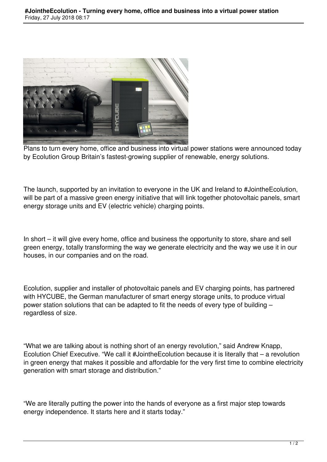

Plans to turn every home, office and business into virtual power stations were announced today by Ecolution Group Britain's fastest-growing supplier of renewable, energy solutions.

The launch, supported by an invitation to everyone in the UK and Ireland to #JointheEcolution, will be part of a massive green energy initiative that will link together photovoltaic panels, smart energy storage units and EV (electric vehicle) charging points.

In short – it will give every home, office and business the opportunity to store, share and sell green energy, totally transforming the way we generate electricity and the way we use it in our houses, in our companies and on the road.

Ecolution, supplier and installer of photovoltaic panels and EV charging points, has partnered with HYCUBE, the German manufacturer of smart energy storage units, to produce virtual power station solutions that can be adapted to fit the needs of every type of building – regardless of size.

"What we are talking about is nothing short of an energy revolution," said Andrew Knapp, Ecolution Chief Executive. "We call it #JointheEcolution because it is literally that – a revolution in green energy that makes it possible and affordable for the very first time to combine electricity generation with smart storage and distribution."

"We are literally putting the power into the hands of everyone as a first major step towards energy independence. It starts here and it starts today."